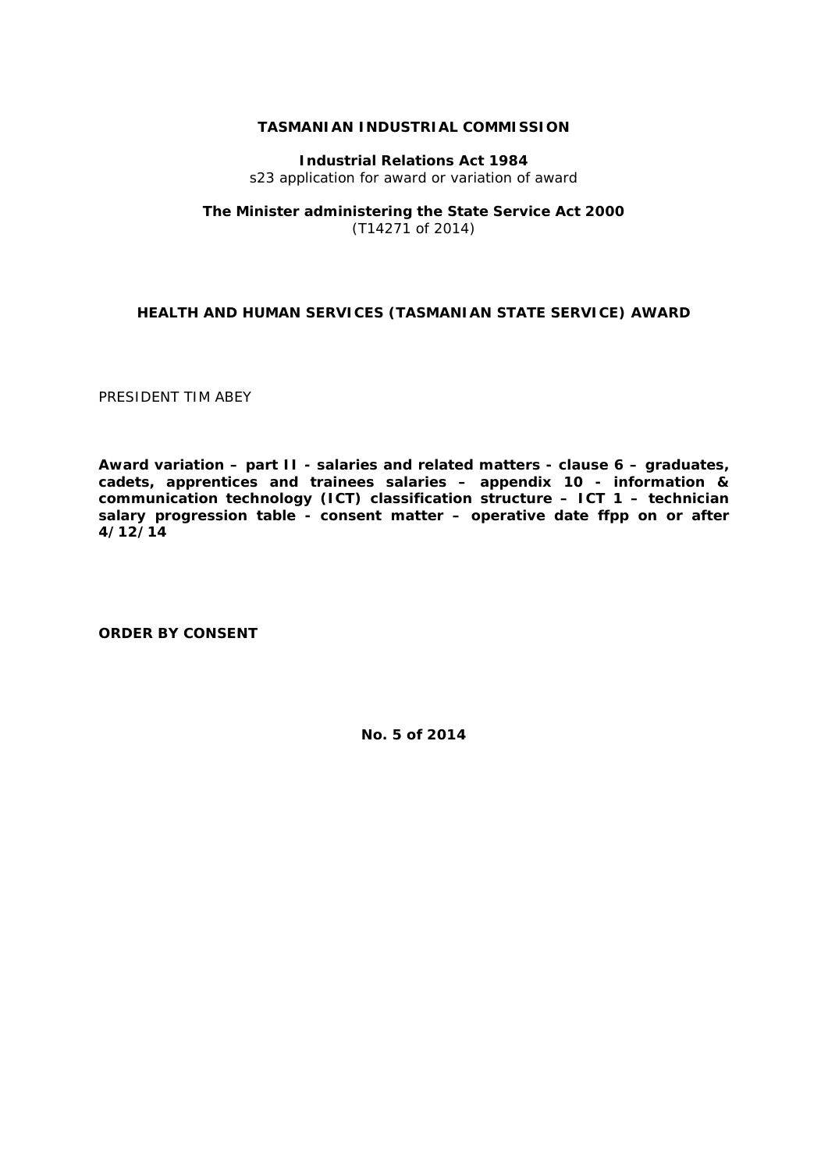#### **TASMANIAN INDUSTRIAL COMMISSION**

**Industrial Relations Act 1984** s23 application for award or variation of award

## **The Minister administering the State Service Act 2000** (T14271 of 2014)

## **HEALTH AND HUMAN SERVICES (TASMANIAN STATE SERVICE) AWARD**

PRESIDENT TIM ABEY

**Award variation – part II - salaries and related matters - clause 6 – graduates, cadets, apprentices and trainees salaries – appendix 10 - information & communication technology (ICT) classification structure – ICT 1 – technician salary progression table - consent matter – operative date ffpp on or after 4/12/14**

**ORDER BY CONSENT**

**No. 5 of 2014**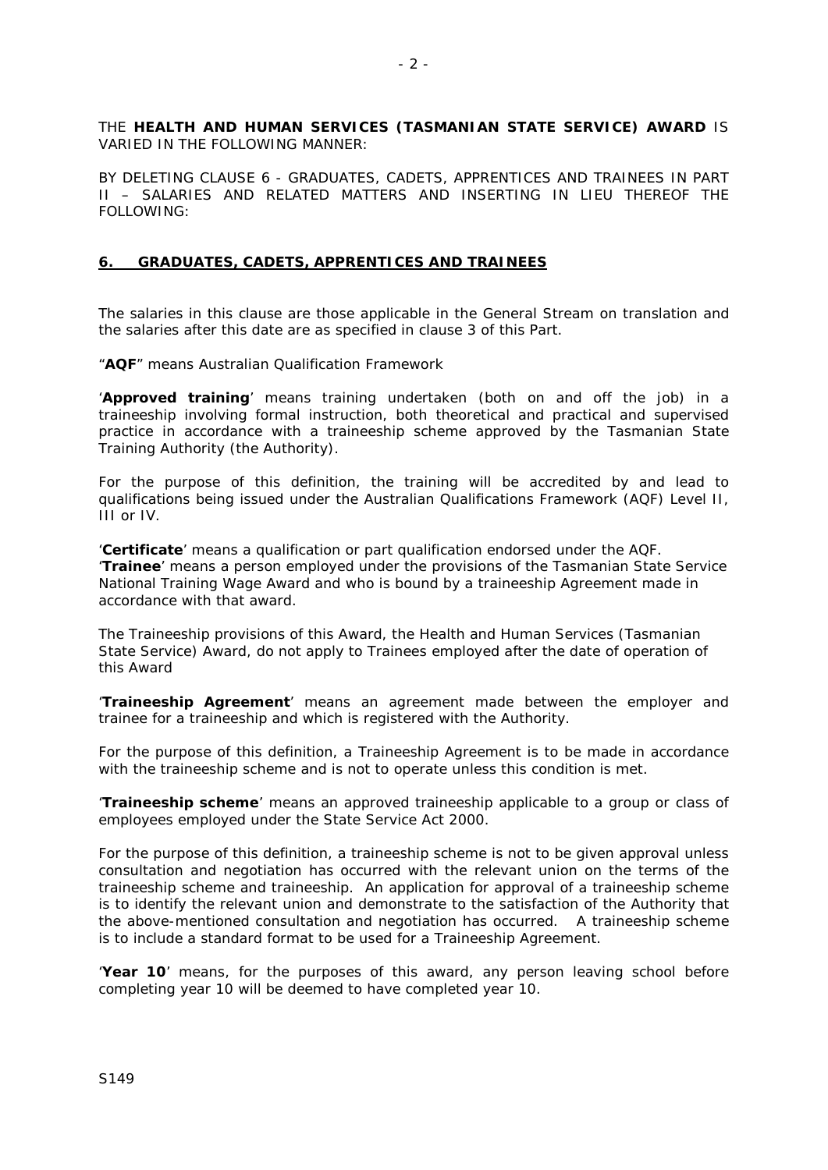THE **HEALTH AND HUMAN SERVICES (TASMANIAN STATE SERVICE) AWARD** IS VARIED IN THE FOLLOWING MANNER:

BY DELETING CLAUSE 6 - GRADUATES, CADETS, APPRENTICES AND TRAINEES IN PART II – SALARIES AND RELATED MATTERS AND INSERTING IN LIEU THEREOF THE FOLLOWING:

### **6. GRADUATES, CADETS, APPRENTICES AND TRAINEES**

The salaries in this clause are those applicable in the General Stream on translation and the salaries after this date are as specified in clause 3 of this Part.

"**AQF**" means Australian Qualification Framework

'**Approved training**' means training undertaken (both on and off the job) in a traineeship involving formal instruction, both theoretical and practical and supervised practice in accordance with a traineeship scheme approved by the Tasmanian State Training Authority (the Authority).

For the purpose of this definition, the training will be accredited by and lead to qualifications being issued under the Australian Qualifications Framework (AQF) Level II, III or IV.

'**Certificate**' means a qualification or part qualification endorsed under the AQF. '**Trainee**' means a person employed under the provisions of the Tasmanian State Service National Training Wage Award and who is bound by a traineeship Agreement made in accordance with that award.

The Traineeship provisions of this Award, the Health and Human Services (Tasmanian State Service) Award, do not apply to Trainees employed after the date of operation of this Award

'**Traineeship Agreement**' means an agreement made between the employer and trainee for a traineeship and which is registered with the Authority.

For the purpose of this definition, a Traineeship Agreement is to be made in accordance with the traineeship scheme and is not to operate unless this condition is met.

'**Traineeship scheme**' means an approved traineeship applicable to a group or class of employees employed under the *State Service Act* 2000.

For the purpose of this definition, a traineeship scheme is not to be given approval unless consultation and negotiation has occurred with the relevant union on the terms of the traineeship scheme and traineeship. An application for approval of a traineeship scheme is to identify the relevant union and demonstrate to the satisfaction of the Authority that the above-mentioned consultation and negotiation has occurred. A traineeship scheme is to include a standard format to be used for a Traineeship Agreement.

'**Year 10**' means, for the purposes of this award, any person leaving school before completing year 10 will be deemed to have completed year 10.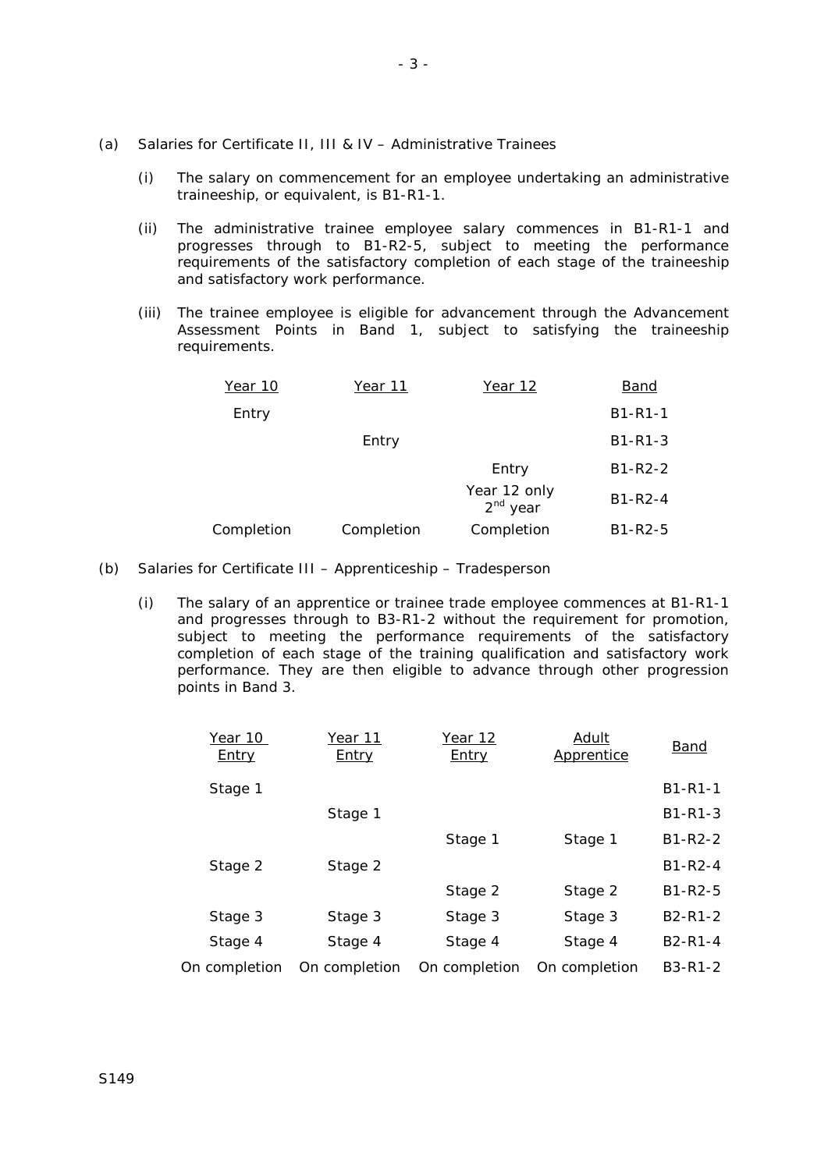- (a) Salaries for Certificate II, III & IV Administrative Trainees
	- (i) The salary on commencement for an employee undertaking an administrative traineeship, or equivalent, is B1-R1-1.
	- (ii) The administrative trainee employee salary commences in B1-R1-1 and progresses through to B1-R2-5, subject to meeting the performance requirements of the satisfactory completion of each stage of the traineeship and satisfactory work performance.
	- (iii) The trainee employee is eligible for advancement through the Advancement Assessment Points in Band 1, subject to satisfying the traineeship requirements.

| Year 10    | Year 11    | Year 12                    | Band          |
|------------|------------|----------------------------|---------------|
| Entry      |            |                            | $B1 - R1 - 1$ |
|            | Entry      |                            | $B1 - R1 - 3$ |
|            |            | Entry                      | $B1-R2-2$     |
|            |            | Year 12 only<br>$2nd$ year | $B1 - R2 - 4$ |
| Completion | Completion | Completion                 | $B1-R2-5$     |

- (b) Salaries for Certificate III Apprenticeship Tradesperson
	- (i) The salary of an apprentice or trainee trade employee commences at B1-R1-1 and progresses through to B3-R1-2 without the requirement for promotion, subject to meeting the performance requirements of the satisfactory completion of each stage of the training qualification and satisfactory work performance. They are then eligible to advance through other progression points in Band 3.

| Year 10<br><b>Entry</b> | Year 11<br><u>Entry</u> | <u>Year 12</u><br><u>Entry</u> | <b>Adult</b><br>Apprentice | <b>Band</b>                       |
|-------------------------|-------------------------|--------------------------------|----------------------------|-----------------------------------|
| Stage 1                 |                         |                                |                            | $B1 - R1 - 1$                     |
|                         | Stage 1                 |                                |                            | $B1 - R1 - 3$                     |
|                         |                         | Stage 1                        | Stage 1                    | $B1-R2-2$                         |
| Stage 2                 | Stage 2                 |                                |                            | $B1 - R2 - 4$                     |
|                         |                         | Stage 2                        | Stage 2                    | $B1-R2-5$                         |
| Stage 3                 | Stage 3                 | Stage 3                        | Stage 3                    | $B2 - R1 - 2$                     |
| Stage 4                 | Stage 4                 | Stage 4                        | Stage 4                    | B <sub>2</sub> -R <sub>1</sub> -4 |
| On completion           | On completion           | On completion                  | On completion              | $B3 - R1 - 2$                     |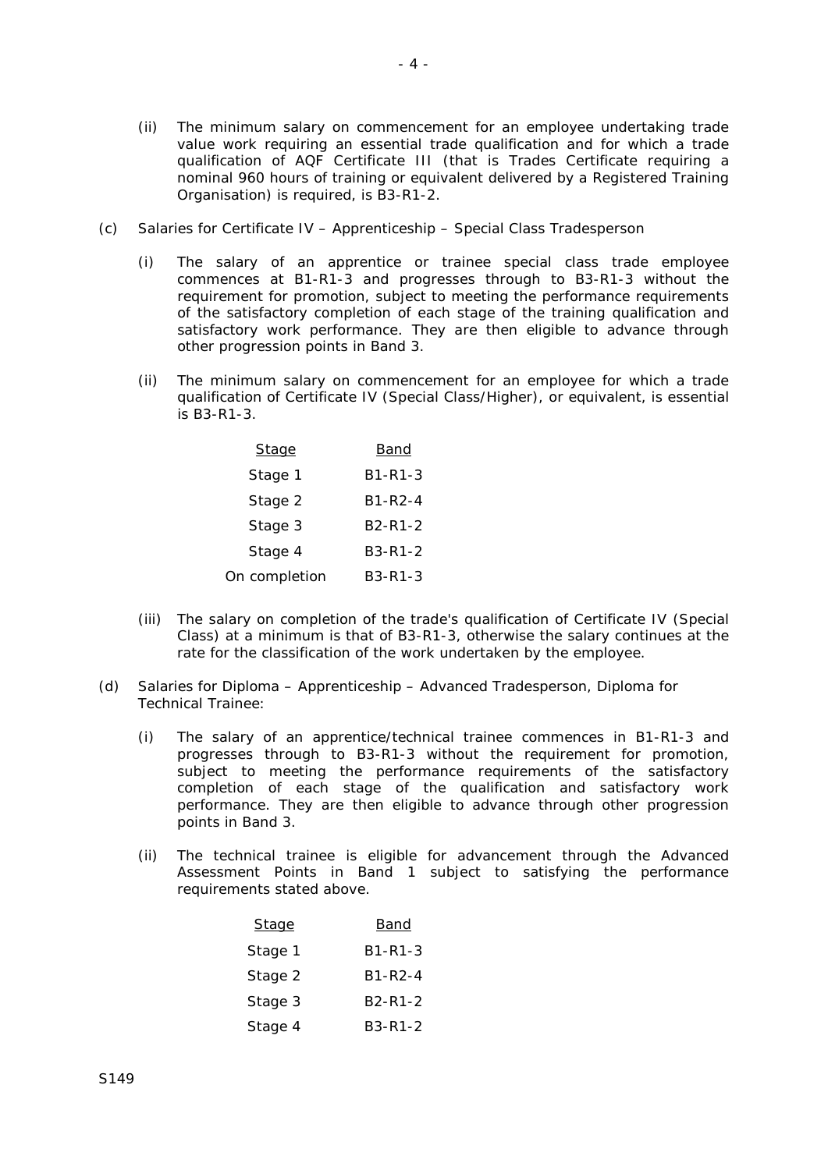- (ii) The minimum salary on commencement for an employee undertaking trade value work requiring an essential trade qualification and for which a trade qualification of AQF Certificate III (that is Trades Certificate requiring a nominal 960 hours of training or equivalent delivered by a Registered Training Organisation) is required, is B3-R1-2.
- (c) Salaries for Certificate IV Apprenticeship Special Class Tradesperson
	- (i) The salary of an apprentice or trainee special class trade employee commences at B1-R1-3 and progresses through to B3-R1-3 without the requirement for promotion, subject to meeting the performance requirements of the satisfactory completion of each stage of the training qualification and satisfactory work performance. They are then eligible to advance through other progression points in Band 3.
	- (ii) The minimum salary on commencement for an employee for which a trade qualification of Certificate IV (Special Class/Higher), or equivalent, is essential is B3-R1-3.

| <b>Stage</b>  | Band                              |
|---------------|-----------------------------------|
| Stage 1       | B1-R1-3                           |
| Stage 2       | B1-R2-4                           |
| Stage 3       | B <sub>2</sub> -R <sub>1</sub> -2 |
| Stage 4       | B3-R1-2                           |
| On completion | B3-R1-3                           |

- (iii) The salary on completion of the trade's qualification of Certificate IV (Special Class) at a minimum is that of B3-R1-3, otherwise the salary continues at the rate for the classification of the work undertaken by the employee.
- (d) Salaries for Diploma Apprenticeship Advanced Tradesperson, Diploma for Technical Trainee:
	- (i) The salary of an apprentice/technical trainee commences in B1-R1-3 and progresses through to B3-R1-3 without the requirement for promotion, subject to meeting the performance requirements of the satisfactory completion of each stage of the qualification and satisfactory work performance. They are then eligible to advance through other progression points in Band 3.
	- (ii) The technical trainee is eligible for advancement through the Advanced Assessment Points in Band 1 subject to satisfying the performance requirements stated above.

| Stage   | Band                              |  |  |
|---------|-----------------------------------|--|--|
| Stage 1 | B1-R1-3                           |  |  |
| Stage 2 | B1-R2-4                           |  |  |
| Stage 3 | B <sub>2</sub> -R <sub>1</sub> -2 |  |  |
| Stage 4 | B3-R1-2                           |  |  |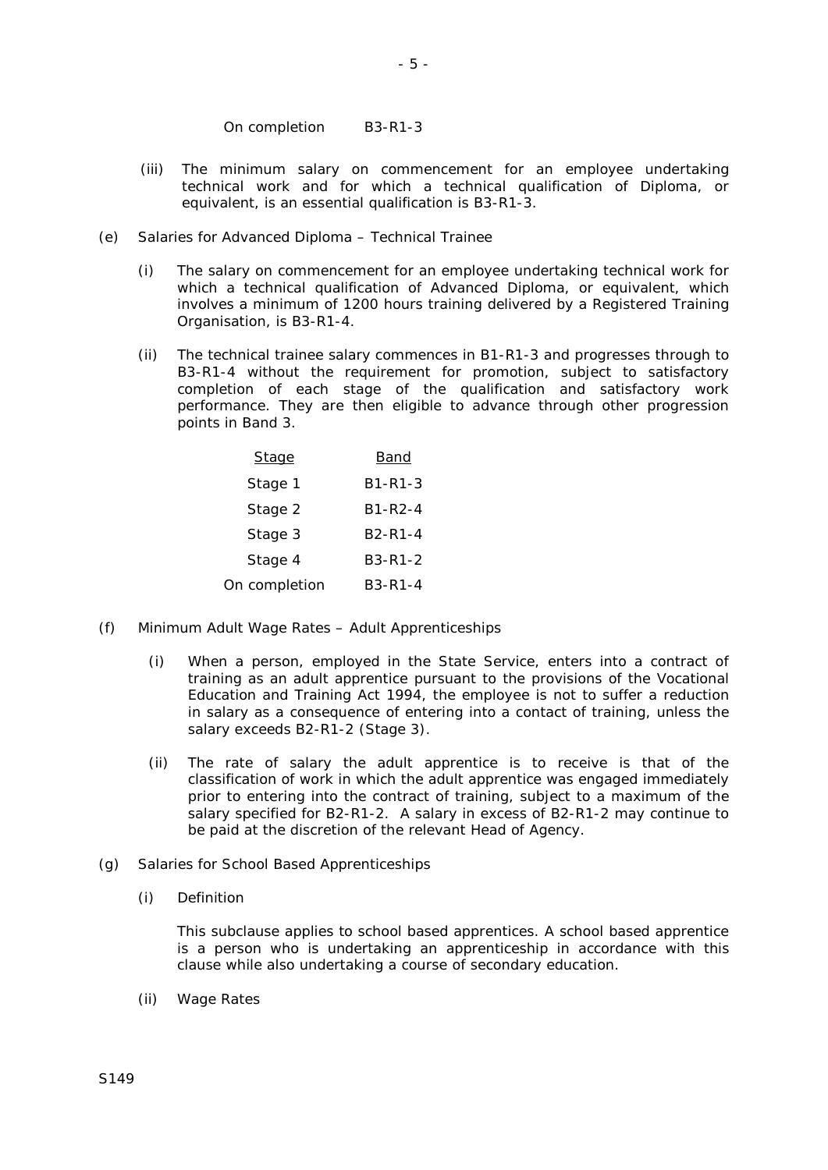On completion B3-R1-3

- (iii) The minimum salary on commencement for an employee undertaking technical work and for which a technical qualification of Diploma, or equivalent, is an essential qualification is B3-R1-3.
- (e) Salaries for Advanced Diploma Technical Trainee
	- (i) The salary on commencement for an employee undertaking technical work for which a technical qualification of Advanced Diploma, or equivalent, which involves a minimum of 1200 hours training delivered by a Registered Training Organisation, is B3-R1-4.
	- (ii) The technical trainee salary commences in B1-R1-3 and progresses through to B3-R1-4 without the requirement for promotion, subject to satisfactory completion of each stage of the qualification and satisfactory work performance. They are then eligible to advance through other progression points in Band 3.

| <b>Stage</b>  | Band                              |
|---------------|-----------------------------------|
| Stage 1       | B <sub>1</sub> -R <sub>1</sub> -3 |
| Stage 2       | B <sub>1</sub> -R <sub>2</sub> -4 |
| Stage 3       | B <sub>2</sub> -R <sub>1</sub> -4 |
| Stage 4       | $B3-R1-2$                         |
| On completion | B3-R1-4                           |

- (f) Minimum Adult Wage Rates Adult Apprenticeships
	- (i) When a person, employed in the State Service, enters into a contract of training as an adult apprentice pursuant to the provisions of the *Vocational Education and Training Act* 1994, the employee is not to suffer a reduction in salary as a consequence of entering into a contact of training, unless the salary exceeds B2-R1-2 (Stage 3).
	- (ii) The rate of salary the adult apprentice is to receive is that of the classification of work in which the adult apprentice was engaged immediately prior to entering into the contract of training, subject to a maximum of the salary specified for B2-R1-2. A salary in excess of B2-R1-2 may continue to be paid at the discretion of the relevant Head of Agency.
- (g) Salaries for School Based Apprenticeships
	- (i) Definition

This subclause applies to school based apprentices. A school based apprentice is a person who is undertaking an apprenticeship in accordance with this clause while also undertaking a course of secondary education.

(ii) Wage Rates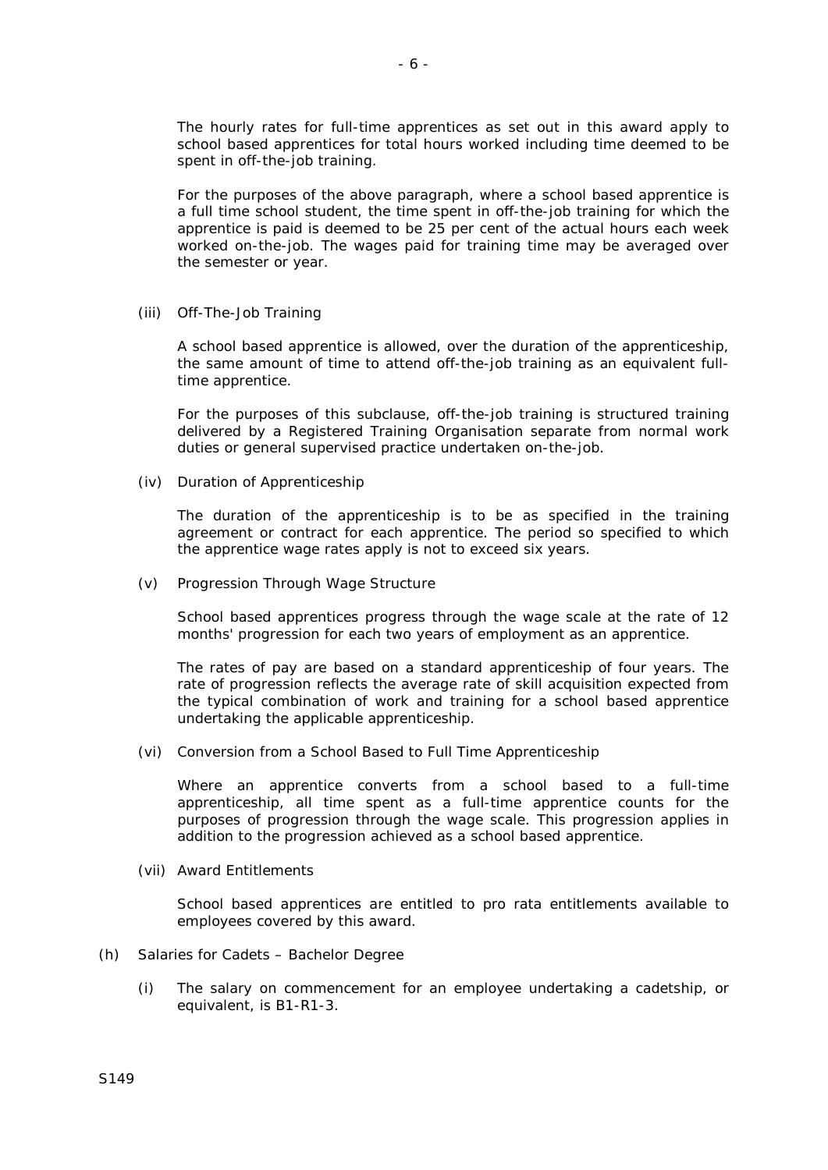The hourly rates for full-time apprentices as set out in this award apply to school based apprentices for total hours worked including time deemed to be spent in off-the-job training.

For the purposes of the above paragraph, where a school based apprentice is a full time school student, the time spent in off-the-job training for which the apprentice is paid is deemed to be 25 per cent of the actual hours each week worked on-the-job. The wages paid for training time may be averaged over the semester or year.

(iii) Off-The-Job Training

A school based apprentice is allowed, over the duration of the apprenticeship, the same amount of time to attend off-the-job training as an equivalent fulltime apprentice.

For the purposes of this subclause, off-the-job training is structured training delivered by a Registered Training Organisation separate from normal work duties or general supervised practice undertaken on-the-job.

(iv) Duration of Apprenticeship

The duration of the apprenticeship is to be as specified in the training agreement or contract for each apprentice. The period so specified to which the apprentice wage rates apply is not to exceed six years.

(v) Progression Through Wage Structure

School based apprentices progress through the wage scale at the rate of 12 months' progression for each two years of employment as an apprentice.

The rates of pay are based on a standard apprenticeship of four years. The rate of progression reflects the average rate of skill acquisition expected from the typical combination of work and training for a school based apprentice undertaking the applicable apprenticeship.

(vi) Conversion from a School Based to Full Time Apprenticeship

Where an apprentice converts from a school based to a full-time apprenticeship, all time spent as a full-time apprentice counts for the purposes of progression through the wage scale. This progression applies in addition to the progression achieved as a school based apprentice.

(vii) Award Entitlements

School based apprentices are entitled to pro rata entitlements available to employees covered by this award.

- (h) Salaries for Cadets Bachelor Degree
	- (i) The salary on commencement for an employee undertaking a cadetship, or equivalent, is B1-R1-3.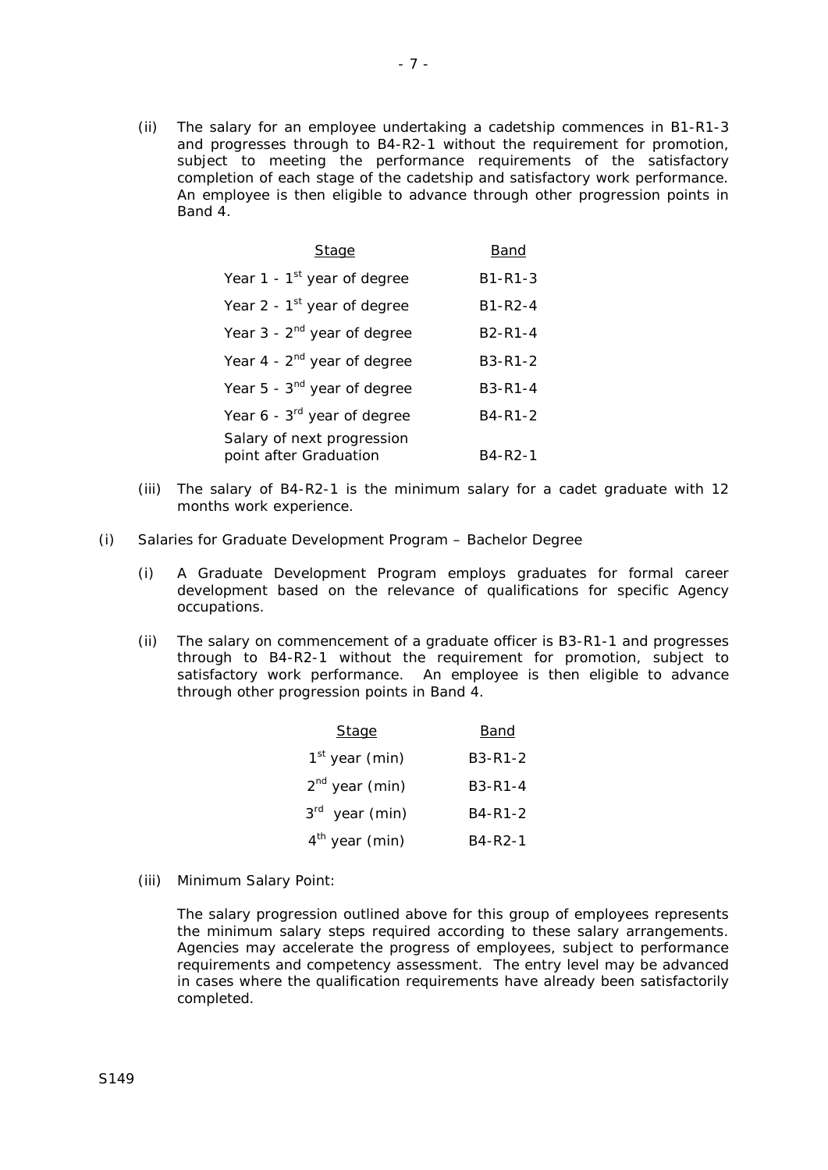(ii) The salary for an employee undertaking a cadetship commences in B1-R1-3 and progresses through to B4-R2-1 without the requirement for promotion, subject to meeting the performance requirements of the satisfactory completion of each stage of the cadetship and satisfactory work performance. An employee is then eligible to advance through other progression points in Band 4.

| Stage                                                | Band                              |
|------------------------------------------------------|-----------------------------------|
| Year 1 - $1st$ year of degree                        | <b>B1-R1-3</b>                    |
| Year 2 - $1st$ year of degree                        | <b>B1-R2-4</b>                    |
| Year $3 - 2nd$ year of degree                        | B <sub>2</sub> -R <sub>1</sub> -4 |
| Year $4 - 2^{nd}$ year of degree                     | <b>B3-R1-2</b>                    |
| Year 5 - 3 <sup>nd</sup> year of degree              | $B3 - R1 - 4$                     |
| Year $6 - 3^{rd}$ year of degree                     | B4-R1-2                           |
| Salary of next progression<br>point after Graduation | B4-R2-1                           |

- (iii) The salary of B4-R2-1 is the minimum salary for a cadet graduate with 12 months work experience.
- (i) Salaries for Graduate Development Program Bachelor Degree
	- (i) A Graduate Development Program employs graduates for formal career development based on the relevance of qualifications for specific Agency occupations.
	- (ii) The salary on commencement of a graduate officer is B3-R1-1 and progresses through to B4-R2-1 without the requirement for promotion, subject to satisfactory work performance. An employee is then eligible to advance through other progression points in Band 4.

| <b>Stage</b>               | <u>Band</u>                       |
|----------------------------|-----------------------------------|
| $1st$ year (min)           | B <sub>3</sub> -R <sub>1</sub> -2 |
| $2nd$ year (min)           | $B3 - R1 - 4$                     |
| 3 <sup>rd</sup> year (min) | B4-R1-2                           |
| $4th$ year (min)           | B4-R2-1                           |

(iii) Minimum Salary Point:

The salary progression outlined above for this group of employees represents the minimum salary steps required according to these salary arrangements. Agencies may accelerate the progress of employees, subject to performance requirements and competency assessment. The entry level may be advanced in cases where the qualification requirements have already been satisfactorily completed.